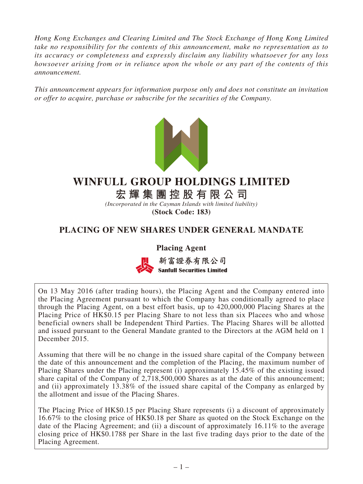*Hong Kong Exchanges and Clearing Limited and The Stock Exchange of Hong Kong Limited take no responsibility for the contents of this announcement, make no representation as to its accuracy or completeness and expressly disclaim any liability whatsoever for any loss howsoever arising from or in reliance upon the whole or any part of the contents of this announcement.*

*This announcement appears for information purpose only and does not constitute an invitation or offer to acquire, purchase or subscribe for the securities of the Company.*



# **WINFULL GROUP HOLDINGS LIMITED**

**宏輝集團控股有限公司**

*(Incorporated in the Cayman Islands with limited liability)* **(Stock Code: 183)**

# **PLACING OF NEW SHARES UNDER GENERAL MANDATE**

**Placing Agent**



新富證券有限公司 **Sanfull Securities Limited** 

On 13 May 2016 (after trading hours), the Placing Agent and the Company entered into the Placing Agreement pursuant to which the Company has conditionally agreed to place through the Placing Agent, on a best effort basis, up to 420,000,000 Placing Shares at the Placing Price of HK\$0.15 per Placing Share to not less than six Placees who and whose beneficial owners shall be Independent Third Parties. The Placing Shares will be allotted and issued pursuant to the General Mandate granted to the Directors at the AGM held on 1 December 2015.

Assuming that there will be no change in the issued share capital of the Company between the date of this announcement and the completion of the Placing, the maximum number of Placing Shares under the Placing represent (i) approximately 15.45% of the existing issued share capital of the Company of 2,718,500,000 Shares as at the date of this announcement; and (ii) approximately 13.38% of the issued share capital of the Company as enlarged by the allotment and issue of the Placing Shares.

The Placing Price of HK\$0.15 per Placing Share represents (i) a discount of approximately 16.67% to the closing price of HK\$0.18 per Share as quoted on the Stock Exchange on the date of the Placing Agreement; and (ii) a discount of approximately 16.11% to the average closing price of HK\$0.1788 per Share in the last five trading days prior to the date of the Placing Agreement.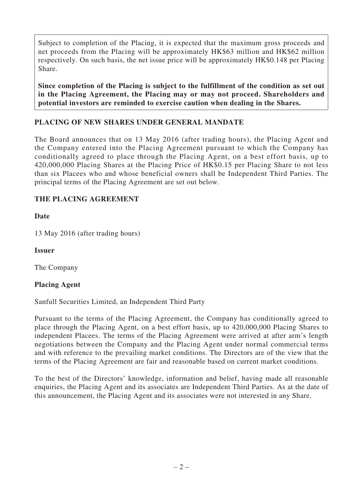Subject to completion of the Placing, it is expected that the maximum gross proceeds and net proceeds from the Placing will be approximately HK\$63 million and HK\$62 million respectively. On such basis, the net issue price will be approximately HK\$0.148 per Placing Share.

**Since completion of the Placing is subject to the fulfillment of the condition as set out in the Placing Agreement, the Placing may or may not proceed. Shareholders and potential investors are reminded to exercise caution when dealing in the Shares.**

# **PLACING OF NEW SHARES UNDER GENERAL MANDATE**

The Board announces that on 13 May 2016 (after trading hours), the Placing Agent and the Company entered into the Placing Agreement pursuant to which the Company has conditionally agreed to place through the Placing Agent, on a best effort basis, up to 420,000,000 Placing Shares at the Placing Price of HK\$0.15 per Placing Share to not less than six Placees who and whose beneficial owners shall be Independent Third Parties. The principal terms of the Placing Agreement are set out below.

### **THE PLACING AGREEMENT**

**Date**

13 May 2016 (after trading hours)

#### **Issuer**

The Company

#### **Placing Agent**

Sanfull Securities Limited, an Independent Third Party

Pursuant to the terms of the Placing Agreement, the Company has conditionally agreed to place through the Placing Agent, on a best effort basis, up to 420,000,000 Placing Shares to independent Placees. The terms of the Placing Agreement were arrived at after arm's length negotiations between the Company and the Placing Agent under normal commercial terms and with reference to the prevailing market conditions. The Directors are of the view that the terms of the Placing Agreement are fair and reasonable based on current market conditions.

To the best of the Directors' knowledge, information and belief, having made all reasonable enquiries, the Placing Agent and its associates are Independent Third Parties. As at the date of this announcement, the Placing Agent and its associates were not interested in any Share.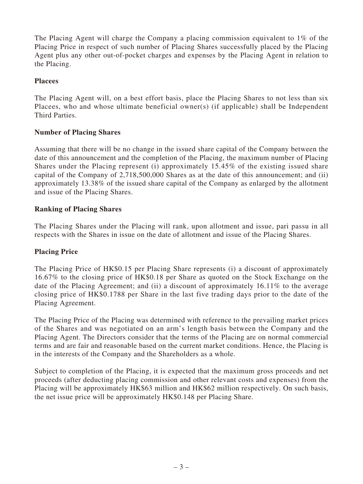The Placing Agent will charge the Company a placing commission equivalent to  $1\%$  of the Placing Price in respect of such number of Placing Shares successfully placed by the Placing Agent plus any other out-of-pocket charges and expenses by the Placing Agent in relation to the Placing.

#### **Placees**

The Placing Agent will, on a best effort basis, place the Placing Shares to not less than six Placees, who and whose ultimate beneficial owner(s) (if applicable) shall be Independent Third Parties.

### **Number of Placing Shares**

Assuming that there will be no change in the issued share capital of the Company between the date of this announcement and the completion of the Placing, the maximum number of Placing Shares under the Placing represent (i) approximately 15.45% of the existing issued share capital of the Company of 2,718,500,000 Shares as at the date of this announcement; and (ii) approximately 13.38% of the issued share capital of the Company as enlarged by the allotment and issue of the Placing Shares.

### **Ranking of Placing Shares**

The Placing Shares under the Placing will rank, upon allotment and issue, pari passu in all respects with the Shares in issue on the date of allotment and issue of the Placing Shares.

# **Placing Price**

The Placing Price of HK\$0.15 per Placing Share represents (i) a discount of approximately 16.67% to the closing price of HK\$0.18 per Share as quoted on the Stock Exchange on the date of the Placing Agreement; and (ii) a discount of approximately 16.11% to the average closing price of HK\$0.1788 per Share in the last five trading days prior to the date of the Placing Agreement.

The Placing Price of the Placing was determined with reference to the prevailing market prices of the Shares and was negotiated on an arm's length basis between the Company and the Placing Agent. The Directors consider that the terms of the Placing are on normal commercial terms and are fair and reasonable based on the current market conditions. Hence, the Placing is in the interests of the Company and the Shareholders as a whole.

Subject to completion of the Placing, it is expected that the maximum gross proceeds and net proceeds (after deducting placing commission and other relevant costs and expenses) from the Placing will be approximately HK\$63 million and HK\$62 million respectively. On such basis, the net issue price will be approximately HK\$0.148 per Placing Share.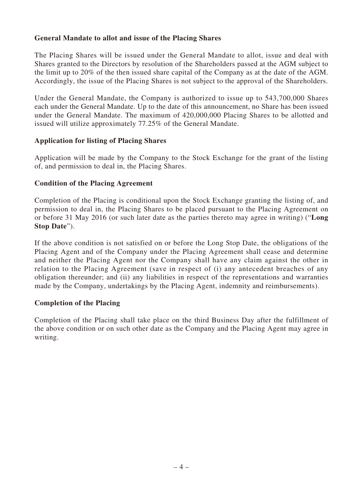#### **General Mandate to allot and issue of the Placing Shares**

The Placing Shares will be issued under the General Mandate to allot, issue and deal with Shares granted to the Directors by resolution of the Shareholders passed at the AGM subject to the limit up to 20% of the then issued share capital of the Company as at the date of the AGM. Accordingly, the issue of the Placing Shares is not subject to the approval of the Shareholders.

Under the General Mandate, the Company is authorized to issue up to 543,700,000 Shares each under the General Mandate. Up to the date of this announcement, no Share has been issued under the General Mandate. The maximum of 420,000,000 Placing Shares to be allotted and issued will utilize approximately 77.25% of the General Mandate.

#### **Application for listing of Placing Shares**

Application will be made by the Company to the Stock Exchange for the grant of the listing of, and permission to deal in, the Placing Shares.

#### **Condition of the Placing Agreement**

Completion of the Placing is conditional upon the Stock Exchange granting the listing of, and permission to deal in, the Placing Shares to be placed pursuant to the Placing Agreement on or before 31 May 2016 (or such later date as the parties thereto may agree in writing) ("**Long Stop Date**").

If the above condition is not satisfied on or before the Long Stop Date, the obligations of the Placing Agent and of the Company under the Placing Agreement shall cease and determine and neither the Placing Agent nor the Company shall have any claim against the other in relation to the Placing Agreement (save in respect of (i) any antecedent breaches of any obligation thereunder; and (ii) any liabilities in respect of the representations and warranties made by the Company, undertakings by the Placing Agent, indemnity and reimbursements).

#### **Completion of the Placing**

Completion of the Placing shall take place on the third Business Day after the fulfillment of the above condition or on such other date as the Company and the Placing Agent may agree in writing.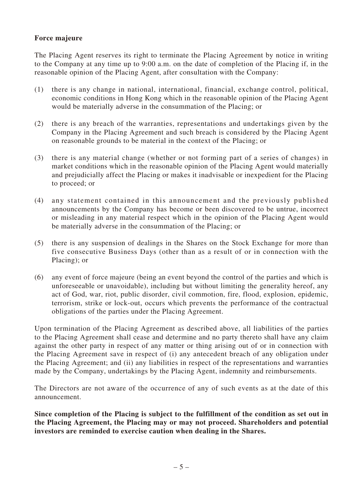#### **Force majeure**

The Placing Agent reserves its right to terminate the Placing Agreement by notice in writing to the Company at any time up to 9:00 a.m. on the date of completion of the Placing if, in the reasonable opinion of the Placing Agent, after consultation with the Company:

- (1) there is any change in national, international, financial, exchange control, political, economic conditions in Hong Kong which in the reasonable opinion of the Placing Agent would be materially adverse in the consummation of the Placing; or
- (2) there is any breach of the warranties, representations and undertakings given by the Company in the Placing Agreement and such breach is considered by the Placing Agent on reasonable grounds to be material in the context of the Placing; or
- (3) there is any material change (whether or not forming part of a series of changes) in market conditions which in the reasonable opinion of the Placing Agent would materially and prejudicially affect the Placing or makes it inadvisable or inexpedient for the Placing to proceed; or
- (4) any statement contained in this announcement and the previously published announcements by the Company has become or been discovered to be untrue, incorrect or misleading in any material respect which in the opinion of the Placing Agent would be materially adverse in the consummation of the Placing; or
- (5) there is any suspension of dealings in the Shares on the Stock Exchange for more than five consecutive Business Days (other than as a result of or in connection with the Placing); or
- (6) any event of force majeure (being an event beyond the control of the parties and which is unforeseeable or unavoidable), including but without limiting the generality hereof, any act of God, war, riot, public disorder, civil commotion, fire, flood, explosion, epidemic, terrorism, strike or lock-out, occurs which prevents the performance of the contractual obligations of the parties under the Placing Agreement.

Upon termination of the Placing Agreement as described above, all liabilities of the parties to the Placing Agreement shall cease and determine and no party thereto shall have any claim against the other party in respect of any matter or thing arising out of or in connection with the Placing Agreement save in respect of (i) any antecedent breach of any obligation under the Placing Agreement; and (ii) any liabilities in respect of the representations and warranties made by the Company, undertakings by the Placing Agent, indemnity and reimbursements.

The Directors are not aware of the occurrence of any of such events as at the date of this announcement.

**Since completion of the Placing is subject to the fulfillment of the condition as set out in the Placing Agreement, the Placing may or may not proceed. Shareholders and potential investors are reminded to exercise caution when dealing in the Shares.**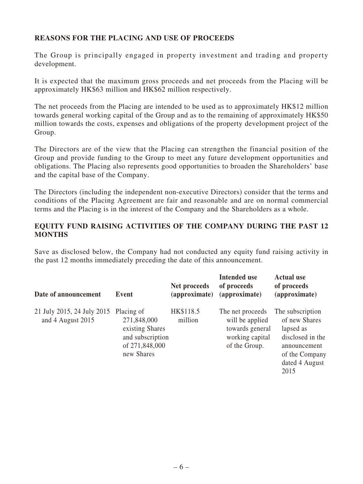### **REASONS FOR THE PLACING AND USE OF PROCEEDS**

The Group is principally engaged in property investment and trading and property development.

It is expected that the maximum gross proceeds and net proceeds from the Placing will be approximately HK\$63 million and HK\$62 million respectively.

The net proceeds from the Placing are intended to be used as to approximately HK\$12 million towards general working capital of the Group and as to the remaining of approximately HK\$50 million towards the costs, expenses and obligations of the property development project of the Group.

The Directors are of the view that the Placing can strengthen the financial position of the Group and provide funding to the Group to meet any future development opportunities and obligations. The Placing also represents good opportunities to broaden the Shareholders' base and the capital base of the Company.

The Directors (including the independent non-executive Directors) consider that the terms and conditions of the Placing Agreement are fair and reasonable and are on normal commercial terms and the Placing is in the interest of the Company and the Shareholders as a whole.

#### **EQUITY FUND RAISING ACTIVITIES OF THE COMPANY DURING THE PAST 12 MONTHS**

Save as disclosed below, the Company had not conducted any equity fund raising activity in the past 12 months immediately preceding the date of this announcement.

| Date of announcement                            | Event                                                                                            | Net proceeds<br>(approximate) | <b>Intended use</b><br>of proceeds<br>(approximate)                                        | <b>Actual use</b><br>of proceeds<br>(approximate)                                                                              |
|-------------------------------------------------|--------------------------------------------------------------------------------------------------|-------------------------------|--------------------------------------------------------------------------------------------|--------------------------------------------------------------------------------------------------------------------------------|
| 21 July 2015, 24 July 2015<br>and 4 August 2015 | Placing of<br>271,848,000<br>existing Shares<br>and subscription<br>of 271,848,000<br>new Shares | HK\$118.5<br>million          | The net proceeds<br>will be applied<br>towards general<br>working capital<br>of the Group. | The subscription<br>of new Shares<br>lapsed as<br>disclosed in the<br>announcement<br>of the Company<br>dated 4 August<br>2015 |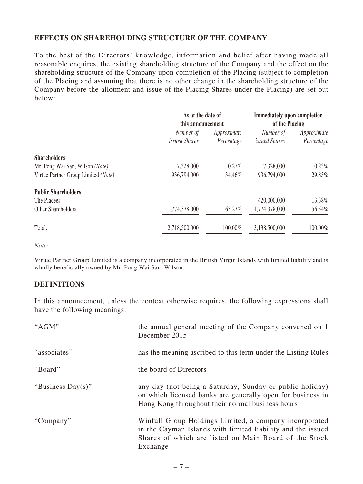#### **EFFECTS ON SHAREHOLDING STRUCTURE OF THE COMPANY**

To the best of the Directors' knowledge, information and belief after having made all reasonable enquires, the existing shareholding structure of the Company and the effect on the shareholding structure of the Company upon completion of the Placing (subject to completion of the Placing and assuming that there is no other change in the shareholding structure of the Company before the allotment and issue of the Placing Shares under the Placing) are set out below:

|                                     | As at the date of<br>this announcement |                           | <b>Immediately upon completion</b><br>of the Placing |                           |
|-------------------------------------|----------------------------------------|---------------------------|------------------------------------------------------|---------------------------|
|                                     | Number of<br><i>issued Shares</i>      | Approximate<br>Percentage | Number of<br>issued Shares                           | Approximate<br>Percentage |
| <b>Shareholders</b>                 |                                        |                           |                                                      |                           |
| Mr. Pong Wai San, Wilson (Note)     | 7,328,000                              | $0.27\%$                  | 7,328,000                                            | $0.23\%$                  |
| Virtue Partner Group Limited (Note) | 936,794,000                            | 34.46%                    | 936,794,000                                          | 29.85%                    |
| <b>Public Shareholders</b>          |                                        |                           |                                                      |                           |
| The Placees                         |                                        |                           | 420,000,000                                          | 13.38%                    |
| Other Shareholders                  | 1,774,378,000                          | 65.27%                    | 1,774,378,000                                        | 56.54%                    |
| Total:                              | 2,718,500,000                          | 100.00%                   | 3,138,500,000                                        | 100.00%                   |

*Note:*

Virtue Partner Group Limited is a company incorporated in the British Virgin Islands with limited liability and is wholly beneficially owned by Mr. Pong Wai San, Wilson.

#### **DEFINITIONS**

In this announcement, unless the context otherwise requires, the following expressions shall have the following meanings:

| "AGM"             | the annual general meeting of the Company convened on 1<br>December 2015                                                                                                                   |
|-------------------|--------------------------------------------------------------------------------------------------------------------------------------------------------------------------------------------|
| "associates"      | has the meaning ascribed to this term under the Listing Rules                                                                                                                              |
| "Board"           | the board of Directors                                                                                                                                                                     |
| "Business Day(s)" | any day (not being a Saturday, Sunday or public holiday)<br>on which licensed banks are generally open for business in<br>Hong Kong throughout their normal business hours                 |
| "Company"         | Winfull Group Holdings Limited, a company incorporated<br>in the Cayman Islands with limited liability and the issued<br>Shares of which are listed on Main Board of the Stock<br>Exchange |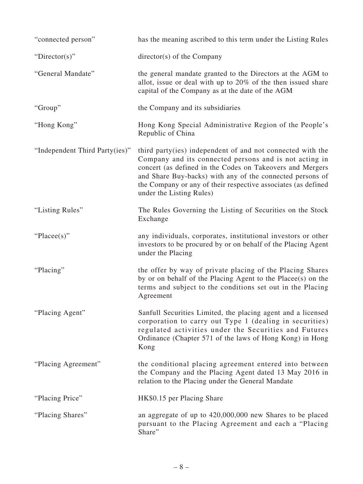| "connected person"             | has the meaning ascribed to this term under the Listing Rules                                                                                                                                                                                                                                                                                |
|--------------------------------|----------------------------------------------------------------------------------------------------------------------------------------------------------------------------------------------------------------------------------------------------------------------------------------------------------------------------------------------|
| "Director(s)"                  | $\text{directory}(s)$ of the Company                                                                                                                                                                                                                                                                                                         |
| "General Mandate"              | the general mandate granted to the Directors at the AGM to<br>allot, issue or deal with up to 20% of the then issued share<br>capital of the Company as at the date of the AGM                                                                                                                                                               |
| "Group"                        | the Company and its subsidiaries                                                                                                                                                                                                                                                                                                             |
| "Hong Kong"                    | Hong Kong Special Administrative Region of the People's<br>Republic of China                                                                                                                                                                                                                                                                 |
| "Independent Third Party(ies)" | third party (ies) independent of and not connected with the<br>Company and its connected persons and is not acting in<br>concert (as defined in the Codes on Takeovers and Mergers<br>and Share Buy-backs) with any of the connected persons of<br>the Company or any of their respective associates (as defined<br>under the Listing Rules) |
| "Listing Rules"                | The Rules Governing the Listing of Securities on the Stock<br>Exchange                                                                                                                                                                                                                                                                       |
| "Placee(s)"                    | any individuals, corporates, institutional investors or other<br>investors to be procured by or on behalf of the Placing Agent<br>under the Placing                                                                                                                                                                                          |
| "Placing"                      | the offer by way of private placing of the Placing Shares<br>by or on behalf of the Placing Agent to the Placee(s) on the<br>terms and subject to the conditions set out in the Placing<br>Agreement                                                                                                                                         |
| "Placing Agent"                | Sanfull Securities Limited, the placing agent and a licensed<br>corporation to carry out Type 1 (dealing in securities)<br>regulated activities under the Securities and Futures<br>Ordinance (Chapter 571 of the laws of Hong Kong) in Hong<br>Kong                                                                                         |
| "Placing Agreement"            | the conditional placing agreement entered into between<br>the Company and the Placing Agent dated 13 May 2016 in<br>relation to the Placing under the General Mandate                                                                                                                                                                        |
| "Placing Price"                | HK\$0.15 per Placing Share                                                                                                                                                                                                                                                                                                                   |
| "Placing Shares"               | an aggregate of up to 420,000,000 new Shares to be placed<br>pursuant to the Placing Agreement and each a "Placing<br>Share"                                                                                                                                                                                                                 |